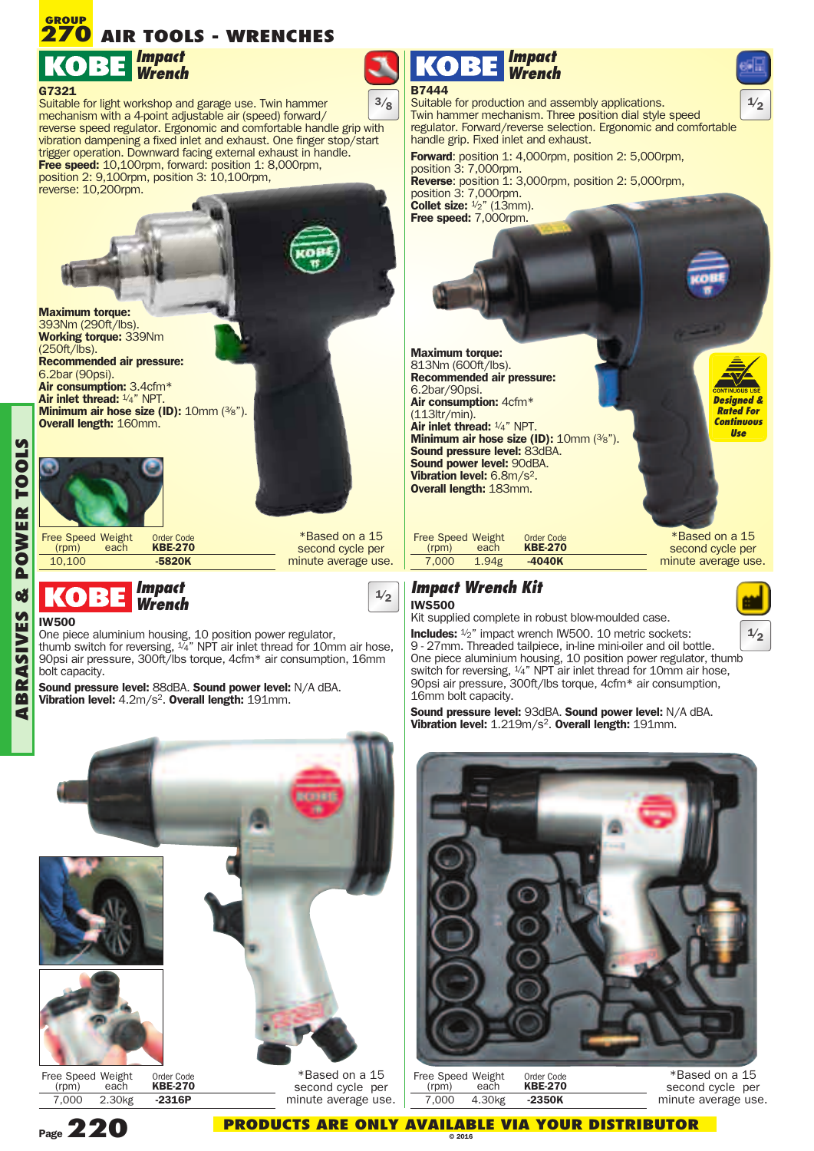# **AIR TOOLS - WRENCHES 270 GROUP**



Suitable for light workshop and garage use. Twin hammer mechanism with a 4-point adjustable air (speed) forward/ reverse speed regulator. Ergonomic and comfortable handle grip with vibration dampening a fixed inlet and exhaust. One finger stop/start trigger operation. Downward facing external exhaust in handle. **Free speed:** 10,100rpm, forward: position 1: 8,000rpm, position 2: 9,100rpm, position 3: 10,100rpm, reverse: 10,200rpm.





Free Speed Weight Order Code<br>(rpm) each **KBE-270** (rpm) each **KBE-270** 10,100 **-5820K**

\*Based on a 15 second cycle per minute average use.

**1/2**

#### *Impact* KO 13 *Wrench*

**IW500** One piece aluminium housing, 10 position power regulator, thumb switch for reversing,  $\frac{1}{4}$ " NPT air inlet thread for 10mm air hose, 90psi air pressure, 300ft/lbs torque, 4cfm\* air consumption, 16mm bolt capacity.

**Sound pressure level:** 88dBA. **Sound power level:** N/A dBA. **Vibration level:** 4.2m/s2. **Overall length:** 191mm.



Suitable for production and assembly applications. **1/2 3/8** Twin hammer mechanism. Three position dial style speed regulator. Forward/reverse selection. Ergonomic and comfortable handle grip. Fixed inlet and exhaust.

**Forward**: position 1: 4,000rpm, position 2: 5,000rpm, position 3: 7,000rpm. **Reverse:** position 1: 3,000rpm, position 2: 5,000rpm, **Collet size:**  $\frac{1}{2}$ " (13mm). **Free speed:** 7,000rpm.

**Maximum torque:** 813Nm (600ft/lbs). **Recommended air pressure:** 6.2bar/90psi. **Air consumption:** 4cfm\* (113ltr/min). **Air inlet thread:** 1/ 4" NPT. **Minimum air hose size (ID):** 10mm (3/ 8"). **Sound pressure level:** 83dBA. **Sound power level:** 90dBA. **Vibration level:** 6.8m/s2. **Overall length:** 183mm.

> \*Based on a 15 second cycle per minute average use.

*Designed & Rated For Continuous Use*

**1/2**

### *Impact Wrench Kit* **IWS500**

16mm bolt capacity.

Free Speed Weight Order Code<br>(rpm) each **KBE-270** (rpm) each **KBE-270**

Kit supplied complete in robust blow-moulded case.

7,000 1.94g **-4040K**

**Includes:**  $\frac{1}{2}$ " impact wrench IW500. 10 metric sockets: 9 - 27mm. Threaded tailpiece, in-line mini-oiler and oil bottle. One piece aluminium housing, 10 position power regulator, thumb switch for reversing,  $\frac{1}{4}$ " NPT air inlet thread for 10mm air hose,

**Sound pressure level:** 93dBA. **Sound power level:** N/A dBA. **Vibration level:** 1.219m/s2. **Overall length:** 191mm.

90psi air pressure, 300ft/lbs torque, 4cfm\* air consumption,



| Free Speed Weight<br>(rpm) | each   | Order Code<br><b>KBE-270</b> |
|----------------------------|--------|------------------------------|
| 7.000                      | 4.30kg | -2350K                       |

\*Based on a 15 second cycle per minute average use.

**A**



7,000 2.30kg **-2316P**

**Page220 PRODUCTS ARE ONLY AVAILABLE VIA YOUR DISTRIBUTOR © <sup>2016</sup>**